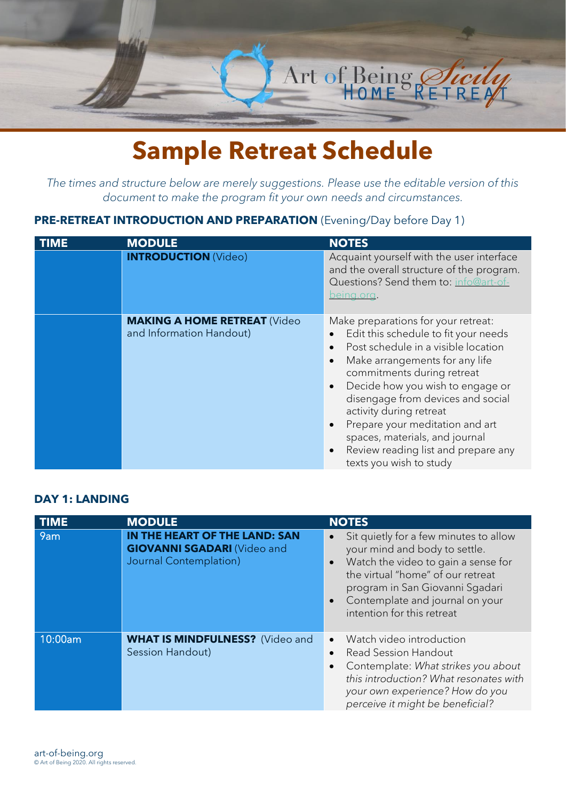

# **Sample Retreat Schedule**

*The times and structure below are merely suggestions. Please use the editable version of this document to make the program fit your own needs and circumstances.*

## **PRE-RETREAT INTRODUCTION AND PREPARATION** (Evening/Day before Day 1)

| <b>MODULE</b>                                                   | <b>NOTES</b>                                                                                                                                                                                                                                                                                                                                                                                                                                                                                   |
|-----------------------------------------------------------------|------------------------------------------------------------------------------------------------------------------------------------------------------------------------------------------------------------------------------------------------------------------------------------------------------------------------------------------------------------------------------------------------------------------------------------------------------------------------------------------------|
| <b>INTRODUCTION (Video)</b>                                     | Acquaint yourself with the user interface<br>and the overall structure of the program.<br>Questions? Send them to: info@art-of-<br>being.org.                                                                                                                                                                                                                                                                                                                                                  |
| <b>MAKING A HOME RETREAT (Video</b><br>and Information Handout) | Make preparations for your retreat:<br>Edit this schedule to fit your needs<br>Post schedule in a visible location<br>$\bullet$<br>Make arrangements for any life<br>$\bullet$<br>commitments during retreat<br>Decide how you wish to engage or<br>$\bullet$<br>disengage from devices and social<br>activity during retreat<br>Prepare your meditation and art<br>$\bullet$<br>spaces, materials, and journal<br>Review reading list and prepare any<br>$\bullet$<br>texts you wish to study |

#### **DAY 1: LANDING**

| <b>TIME</b> | <b>MODULE</b>                                                                                        | <b>NOTES</b>                                                                                                                                                                                                                                            |
|-------------|------------------------------------------------------------------------------------------------------|---------------------------------------------------------------------------------------------------------------------------------------------------------------------------------------------------------------------------------------------------------|
| 9am         | IN THE HEART OF THE LAND: SAN<br><b>GIOVANNI SGADARI (Video and</b><br><b>Journal Contemplation)</b> | Sit quietly for a few minutes to allow<br>your mind and body to settle.<br>Watch the video to gain a sense for<br>the virtual "home" of our retreat<br>program in San Giovanni Sgadari<br>Contemplate and journal on your<br>intention for this retreat |
| 10:00am     | <b>WHAT IS MINDFULNESS?</b> (Video and<br>Session Handout)                                           | Watch video introduction<br>$\bullet$<br><b>Read Session Handout</b><br>Contemplate: What strikes you about<br>this introduction? What resonates with<br>your own experience? How do you<br>perceive it might be beneficial?                            |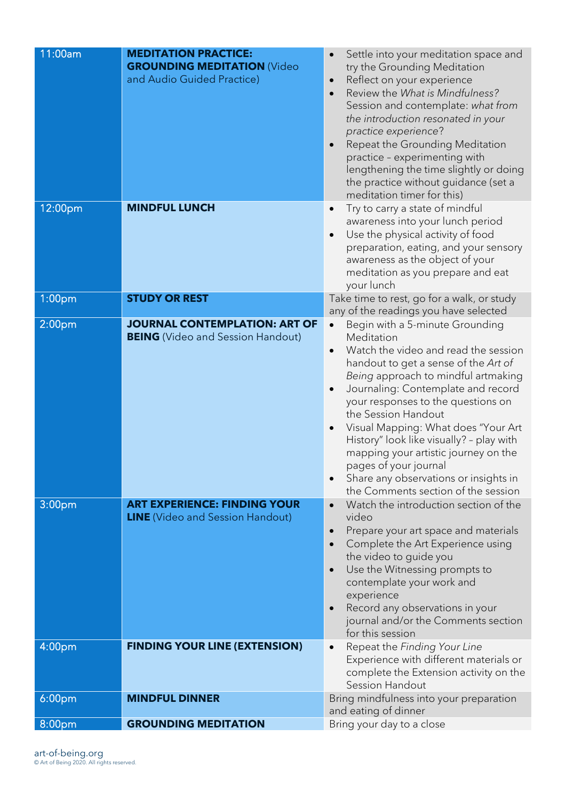| 11:00am            | <b>MEDITATION PRACTICE:</b><br><b>GROUNDING MEDITATION (Video</b><br>and Audio Guided Practice) | Settle into your meditation space and<br>try the Grounding Meditation<br>Reflect on your experience<br>Review the What is Mindfulness?<br>Session and contemplate: what from<br>the introduction resonated in your<br>practice experience?<br>Repeat the Grounding Meditation<br>practice - experimenting with<br>lengthening the time slightly or doing<br>the practice without guidance (set a<br>meditation timer for this)                                                                              |
|--------------------|-------------------------------------------------------------------------------------------------|-------------------------------------------------------------------------------------------------------------------------------------------------------------------------------------------------------------------------------------------------------------------------------------------------------------------------------------------------------------------------------------------------------------------------------------------------------------------------------------------------------------|
| 12:00pm            | <b>MINDFUL LUNCH</b>                                                                            | Try to carry a state of mindful<br>awareness into your lunch period<br>Use the physical activity of food<br>preparation, eating, and your sensory<br>awareness as the object of your<br>meditation as you prepare and eat<br>your lunch                                                                                                                                                                                                                                                                     |
| 1:00 <sub>pm</sub> | <b>STUDY OR REST</b>                                                                            | Take time to rest, go for a walk, or study<br>any of the readings you have selected                                                                                                                                                                                                                                                                                                                                                                                                                         |
| 2:00 <sub>pm</sub> | <b>JOURNAL CONTEMPLATION: ART OF</b><br><b>BEING</b> (Video and Session Handout)                | Begin with a 5-minute Grounding<br>Meditation<br>Watch the video and read the session<br>handout to get a sense of the Art of<br>Being approach to mindful artmaking<br>Journaling: Contemplate and record<br>your responses to the questions on<br>the Session Handout<br>Visual Mapping: What does "Your Art<br>History" look like visually? - play with<br>mapping your artistic journey on the<br>pages of your journal<br>Share any observations or insights in<br>the Comments section of the session |
| 3:00 <sub>pm</sub> | <b>ART EXPERIENCE: FINDING YOUR</b><br><b>LINE</b> (Video and Session Handout)                  | Watch the introduction section of the<br>video<br>Prepare your art space and materials<br>$\bullet$<br>Complete the Art Experience using<br>the video to guide you<br>Use the Witnessing prompts to<br>contemplate your work and<br>experience<br>Record any observations in your<br>journal and/or the Comments section<br>for this session                                                                                                                                                                |
| 4:00 <sub>pm</sub> | <b>FINDING YOUR LINE (EXTENSION)</b>                                                            | Repeat the Finding Your Line<br>Experience with different materials or<br>complete the Extension activity on the<br>Session Handout                                                                                                                                                                                                                                                                                                                                                                         |
| 6:00 <sub>pm</sub> | <b>MINDFUL DINNER</b>                                                                           | Bring mindfulness into your preparation<br>and eating of dinner                                                                                                                                                                                                                                                                                                                                                                                                                                             |
| 8:00pm             | <b>GROUNDING MEDITATION</b>                                                                     | Bring your day to a close                                                                                                                                                                                                                                                                                                                                                                                                                                                                                   |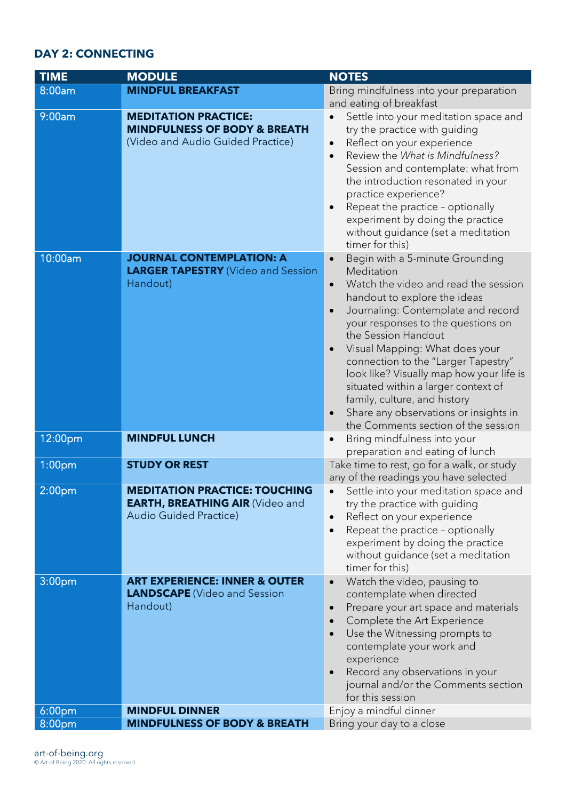## **DAY 2: CONNECTING**

| <b>TIME</b>        | <b>MODULE</b>                                                                                                   | <b>NOTES</b>                                                                                                                                                                                                                                                                                                                                                                                                                                                                                                      |
|--------------------|-----------------------------------------------------------------------------------------------------------------|-------------------------------------------------------------------------------------------------------------------------------------------------------------------------------------------------------------------------------------------------------------------------------------------------------------------------------------------------------------------------------------------------------------------------------------------------------------------------------------------------------------------|
| 8:00am             | <b>MINDFUL BREAKFAST</b>                                                                                        | Bring mindfulness into your preparation                                                                                                                                                                                                                                                                                                                                                                                                                                                                           |
|                    |                                                                                                                 | and eating of breakfast                                                                                                                                                                                                                                                                                                                                                                                                                                                                                           |
| 9:00am             | <b>MEDITATION PRACTICE:</b><br><b>MINDFULNESS OF BODY &amp; BREATH</b><br>(Video and Audio Guided Practice)     | Settle into your meditation space and<br>try the practice with guiding<br>Reflect on your experience<br>Review the What is Mindfulness?<br>Session and contemplate: what from<br>the introduction resonated in your<br>practice experience?<br>Repeat the practice - optionally<br>experiment by doing the practice<br>without guidance (set a meditation<br>timer for this)                                                                                                                                      |
| 10:00am            | <b>JOURNAL CONTEMPLATION: A</b><br><b>LARGER TAPESTRY</b> (Video and Session<br>Handout)                        | Begin with a 5-minute Grounding<br>Meditation<br>Watch the video and read the session<br>$\bullet$<br>handout to explore the ideas<br>Journaling: Contemplate and record<br>your responses to the questions on<br>the Session Handout<br>Visual Mapping: What does your<br>connection to the "Larger Tapestry"<br>look like? Visually map how your life is<br>situated within a larger context of<br>family, culture, and history<br>Share any observations or insights in<br>the Comments section of the session |
| 12:00pm            | <b>MINDFUL LUNCH</b>                                                                                            | Bring mindfulness into your<br>preparation and eating of lunch                                                                                                                                                                                                                                                                                                                                                                                                                                                    |
| 1:00 <sub>pm</sub> | <b>STUDY OR REST</b>                                                                                            | Take time to rest, go for a walk, or study<br>any of the readings you have selected                                                                                                                                                                                                                                                                                                                                                                                                                               |
| 2:00 <sub>pm</sub> | <b>MEDITATION PRACTICE: TOUCHING</b><br><b>EARTH, BREATHING AIR (Video and</b><br><b>Audio Guided Practice)</b> | Settle into your meditation space and<br>try the practice with guiding<br>Reflect on your experience<br>Repeat the practice - optionally<br>experiment by doing the practice<br>without guidance (set a meditation<br>timer for this)                                                                                                                                                                                                                                                                             |
| 3:00 <sub>pm</sub> | <b>ART EXPERIENCE: INNER &amp; OUTER</b><br><b>LANDSCAPE</b> (Video and Session<br>Handout)                     | Watch the video, pausing to<br>$\bullet$<br>contemplate when directed<br>Prepare your art space and materials<br>Complete the Art Experience<br>Use the Witnessing prompts to<br>contemplate your work and<br>experience<br>Record any observations in your<br>journal and/or the Comments section<br>for this session                                                                                                                                                                                            |
| 6:00 <sub>pm</sub> | <b>MINDFUL DINNER</b>                                                                                           | Enjoy a mindful dinner                                                                                                                                                                                                                                                                                                                                                                                                                                                                                            |
| 8:00pm             | <b>MINDFULNESS OF BODY &amp; BREATH</b>                                                                         | Bring your day to a close                                                                                                                                                                                                                                                                                                                                                                                                                                                                                         |